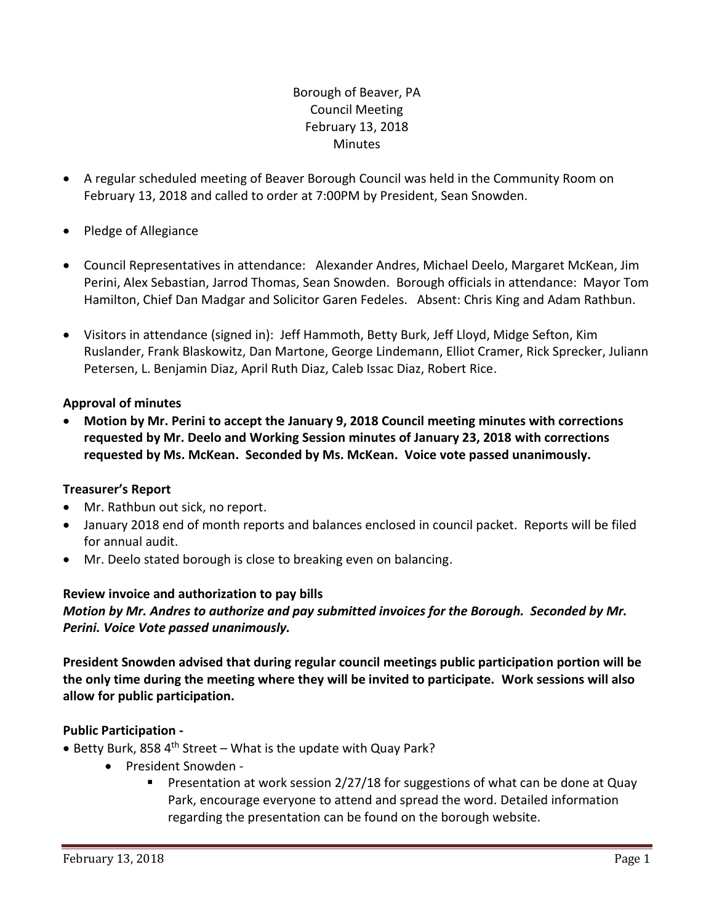# Borough of Beaver, PA Council Meeting February 13, 2018 **Minutes**

- A regular scheduled meeting of Beaver Borough Council was held in the Community Room on February 13, 2018 and called to order at 7:00PM by President, Sean Snowden.
- Pledge of Allegiance
- Council Representatives in attendance: Alexander Andres, Michael Deelo, Margaret McKean, Jim Perini, Alex Sebastian, Jarrod Thomas, Sean Snowden. Borough officials in attendance: Mayor Tom Hamilton, Chief Dan Madgar and Solicitor Garen Fedeles. Absent: Chris King and Adam Rathbun.
- Visitors in attendance (signed in): Jeff Hammoth, Betty Burk, Jeff Lloyd, Midge Sefton, Kim Ruslander, Frank Blaskowitz, Dan Martone, George Lindemann, Elliot Cramer, Rick Sprecker, Juliann Petersen, L. Benjamin Diaz, April Ruth Diaz, Caleb Issac Diaz, Robert Rice.

# **Approval of minutes**

 **Motion by Mr. Perini to accept the January 9, 2018 Council meeting minutes with corrections requested by Mr. Deelo and Working Session minutes of January 23, 2018 with corrections requested by Ms. McKean. Seconded by Ms. McKean. Voice vote passed unanimously.**

# **Treasurer's Report**

- Mr. Rathbun out sick, no report.
- January 2018 end of month reports and balances enclosed in council packet. Reports will be filed for annual audit.
- Mr. Deelo stated borough is close to breaking even on balancing.

# **Review invoice and authorization to pay bills**

*Motion by Mr. Andres to authorize and pay submitted invoices for the Borough. Seconded by Mr. Perini. Voice Vote passed unanimously.*

**President Snowden advised that during regular council meetings public participation portion will be the only time during the meeting where they will be invited to participate. Work sessions will also allow for public participation.** 

# **Public Participation -**

- $\bullet$  Betty Burk, 858 4<sup>th</sup> Street What is the update with Quay Park?
	- President Snowden -
		- **Presentation at work session 2/27/18 for suggestions of what can be done at Quay** Park, encourage everyone to attend and spread the word. Detailed information regarding the presentation can be found on the borough website.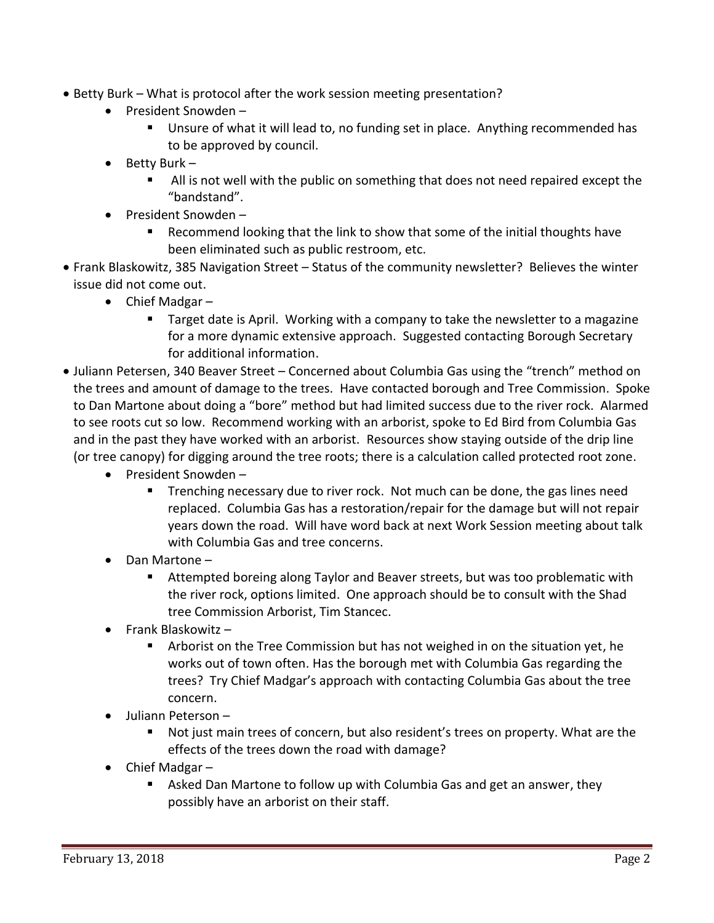- Betty Burk What is protocol after the work session meeting presentation?
	- President Snowden
		- Unsure of what it will lead to, no funding set in place. Anything recommended has to be approved by council.
	- $\bullet$  Betty Burk
		- All is not well with the public on something that does not need repaired except the "bandstand".
	- President Snowden
		- Recommend looking that the link to show that some of the initial thoughts have been eliminated such as public restroom, etc.
- Frank Blaskowitz, 385 Navigation Street Status of the community newsletter? Believes the winter issue did not come out.
	- Chief Madgar
		- Target date is April. Working with a company to take the newsletter to a magazine for a more dynamic extensive approach. Suggested contacting Borough Secretary for additional information.
- Juliann Petersen, 340 Beaver Street Concerned about Columbia Gas using the "trench" method on the trees and amount of damage to the trees. Have contacted borough and Tree Commission. Spoke to Dan Martone about doing a "bore" method but had limited success due to the river rock. Alarmed to see roots cut so low. Recommend working with an arborist, spoke to Ed Bird from Columbia Gas and in the past they have worked with an arborist. Resources show staying outside of the drip line (or tree canopy) for digging around the tree roots; there is a calculation called protected root zone.
	- President Snowden -
		- **Trenching necessary due to river rock. Not much can be done, the gas lines need** replaced. Columbia Gas has a restoration/repair for the damage but will not repair years down the road. Will have word back at next Work Session meeting about talk with Columbia Gas and tree concerns.
	- Dan Martone
		- Attempted boreing along Taylor and Beaver streets, but was too problematic with the river rock, options limited. One approach should be to consult with the Shad tree Commission Arborist, Tim Stancec.
	- $\bullet$  Frank Blaskowitz -
		- Arborist on the Tree Commission but has not weighed in on the situation yet, he works out of town often. Has the borough met with Columbia Gas regarding the trees? Try Chief Madgar's approach with contacting Columbia Gas about the tree concern.
	- Juliann Peterson
		- Not just main trees of concern, but also resident's trees on property. What are the effects of the trees down the road with damage?
	- Chief Madgar
		- Asked Dan Martone to follow up with Columbia Gas and get an answer, they possibly have an arborist on their staff.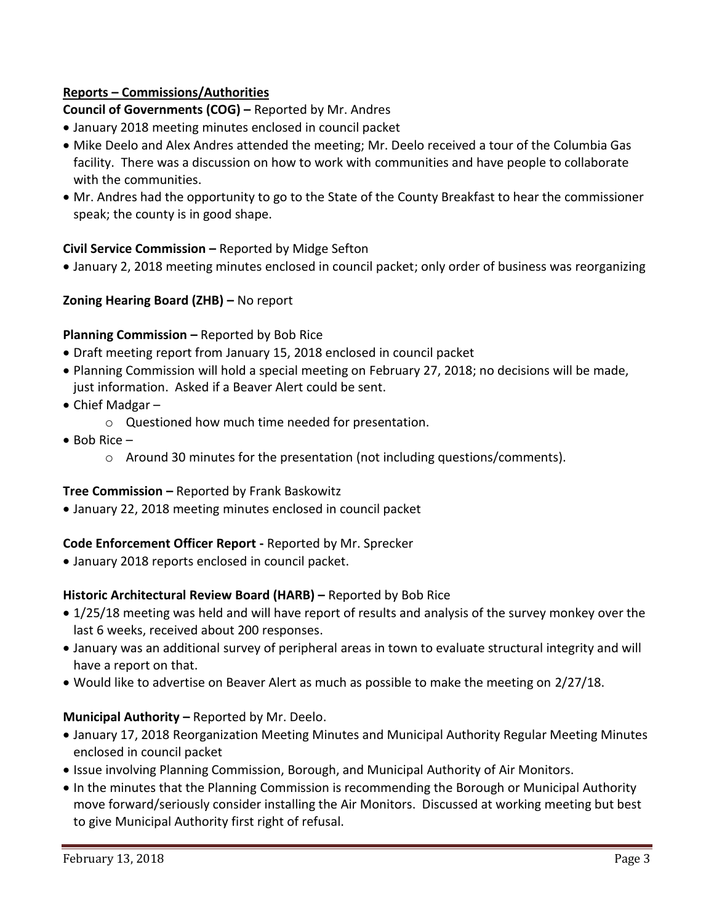# **Reports – Commissions/Authorities**

**Council of Governments (COG) –** Reported by Mr. Andres

- January 2018 meeting minutes enclosed in council packet
- Mike Deelo and Alex Andres attended the meeting; Mr. Deelo received a tour of the Columbia Gas facility. There was a discussion on how to work with communities and have people to collaborate with the communities.
- Mr. Andres had the opportunity to go to the State of the County Breakfast to hear the commissioner speak; the county is in good shape.

# **Civil Service Commission –** Reported by Midge Sefton

January 2, 2018 meeting minutes enclosed in council packet; only order of business was reorganizing

## **Zoning Hearing Board (ZHB) –** No report

#### **Planning Commission –** Reported by Bob Rice

- Draft meeting report from January 15, 2018 enclosed in council packet
- Planning Commission will hold a special meeting on February 27, 2018; no decisions will be made, just information. Asked if a Beaver Alert could be sent.
- Chief Madgar
	- o Questioned how much time needed for presentation.
- $\bullet$  Bob Rice  $-$ 
	- $\circ$  Around 30 minutes for the presentation (not including questions/comments).

#### **Tree Commission –** Reported by Frank Baskowitz

January 22, 2018 meeting minutes enclosed in council packet

# **Code Enforcement Officer Report -** Reported by Mr. Sprecker

January 2018 reports enclosed in council packet.

#### **Historic Architectural Review Board (HARB) –** Reported by Bob Rice

- 1/25/18 meeting was held and will have report of results and analysis of the survey monkey over the last 6 weeks, received about 200 responses.
- January was an additional survey of peripheral areas in town to evaluate structural integrity and will have a report on that.
- Would like to advertise on Beaver Alert as much as possible to make the meeting on 2/27/18.

#### **Municipal Authority –** Reported by Mr. Deelo.

- January 17, 2018 Reorganization Meeting Minutes and Municipal Authority Regular Meeting Minutes enclosed in council packet
- Issue involving Planning Commission, Borough, and Municipal Authority of Air Monitors.
- In the minutes that the Planning Commission is recommending the Borough or Municipal Authority move forward/seriously consider installing the Air Monitors. Discussed at working meeting but best to give Municipal Authority first right of refusal.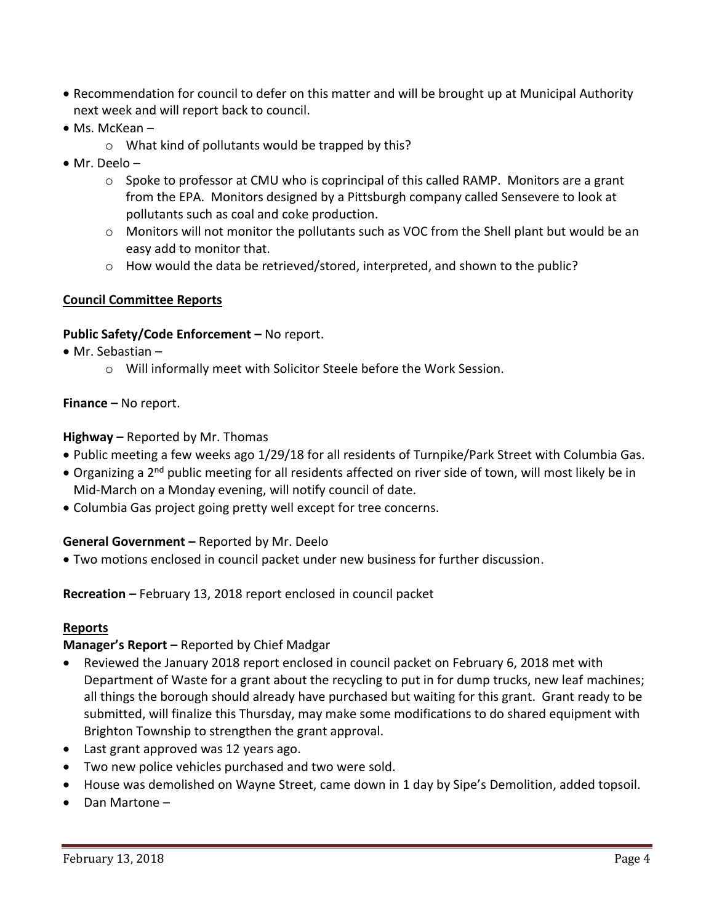- Recommendation for council to defer on this matter and will be brought up at Municipal Authority next week and will report back to council.
- Ms. McKean
	- o What kind of pollutants would be trapped by this?
- Mr. Deelo
	- $\circ$  Spoke to professor at CMU who is coprincipal of this called RAMP. Monitors are a grant from the EPA. Monitors designed by a Pittsburgh company called Sensevere to look at pollutants such as coal and coke production.
	- $\circ$  Monitors will not monitor the pollutants such as VOC from the Shell plant but would be an easy add to monitor that.
	- o How would the data be retrieved/stored, interpreted, and shown to the public?

## **Council Committee Reports**

#### **Public Safety/Code Enforcement –** No report.

- Mr. Sebastian
	- o Will informally meet with Solicitor Steele before the Work Session.

## **Finance –** No report.

## **Highway –** Reported by Mr. Thomas

- Public meeting a few weeks ago 1/29/18 for all residents of Turnpike/Park Street with Columbia Gas.
- Organizing a 2<sup>nd</sup> public meeting for all residents affected on river side of town, will most likely be in Mid-March on a Monday evening, will notify council of date.
- Columbia Gas project going pretty well except for tree concerns.

# **General Government –** Reported by Mr. Deelo

Two motions enclosed in council packet under new business for further discussion.

#### **Recreation –** February 13, 2018 report enclosed in council packet

#### **Reports**

# **Manager's Report –** Reported by Chief Madgar

- Reviewed the January 2018 report enclosed in council packet on February 6, 2018 met with Department of Waste for a grant about the recycling to put in for dump trucks, new leaf machines; all things the borough should already have purchased but waiting for this grant. Grant ready to be submitted, will finalize this Thursday, may make some modifications to do shared equipment with Brighton Township to strengthen the grant approval.
- Last grant approved was 12 years ago.
- Two new police vehicles purchased and two were sold.
- House was demolished on Wayne Street, came down in 1 day by Sipe's Demolition, added topsoil.
- Dan Martone –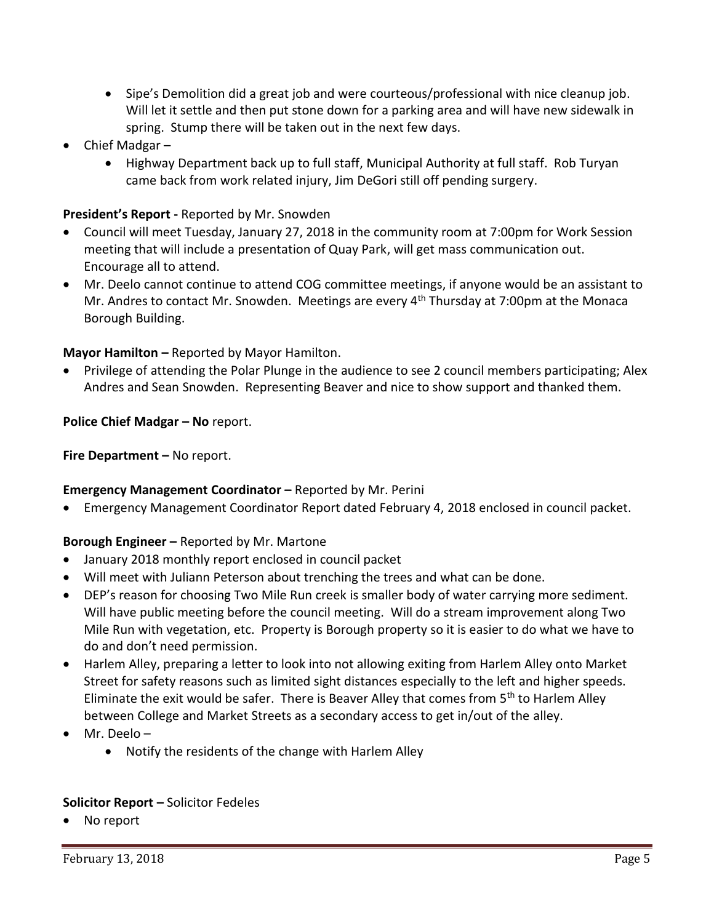- Sipe's Demolition did a great job and were courteous/professional with nice cleanup job. Will let it settle and then put stone down for a parking area and will have new sidewalk in spring. Stump there will be taken out in the next few days.
- Chief Madgar
	- Highway Department back up to full staff, Municipal Authority at full staff. Rob Turyan came back from work related injury, Jim DeGori still off pending surgery.

# **President's Report -** Reported by Mr. Snowden

- Council will meet Tuesday, January 27, 2018 in the community room at 7:00pm for Work Session meeting that will include a presentation of Quay Park, will get mass communication out. Encourage all to attend.
- Mr. Deelo cannot continue to attend COG committee meetings, if anyone would be an assistant to Mr. Andres to contact Mr. Snowden. Meetings are every  $4<sup>th</sup>$  Thursday at 7:00pm at the Monaca Borough Building.

# **Mayor Hamilton –** Reported by Mayor Hamilton.

 Privilege of attending the Polar Plunge in the audience to see 2 council members participating; Alex Andres and Sean Snowden. Representing Beaver and nice to show support and thanked them.

## **Police Chief Madgar – No** report.

**Fire Department – No report.** 

#### **Emergency Management Coordinator –** Reported by Mr. Perini

Emergency Management Coordinator Report dated February 4, 2018 enclosed in council packet.

# **Borough Engineer –** Reported by Mr. Martone

- January 2018 monthly report enclosed in council packet
- Will meet with Juliann Peterson about trenching the trees and what can be done.
- DEP's reason for choosing Two Mile Run creek is smaller body of water carrying more sediment. Will have public meeting before the council meeting. Will do a stream improvement along Two Mile Run with vegetation, etc. Property is Borough property so it is easier to do what we have to do and don't need permission.
- Harlem Alley, preparing a letter to look into not allowing exiting from Harlem Alley onto Market Street for safety reasons such as limited sight distances especially to the left and higher speeds. Eliminate the exit would be safer. There is Beaver Alley that comes from 5<sup>th</sup> to Harlem Alley between College and Market Streets as a secondary access to get in/out of the alley.
- Mr. Deelo
	- Notify the residents of the change with Harlem Alley

#### **Solicitor Report –** Solicitor Fedeles

No report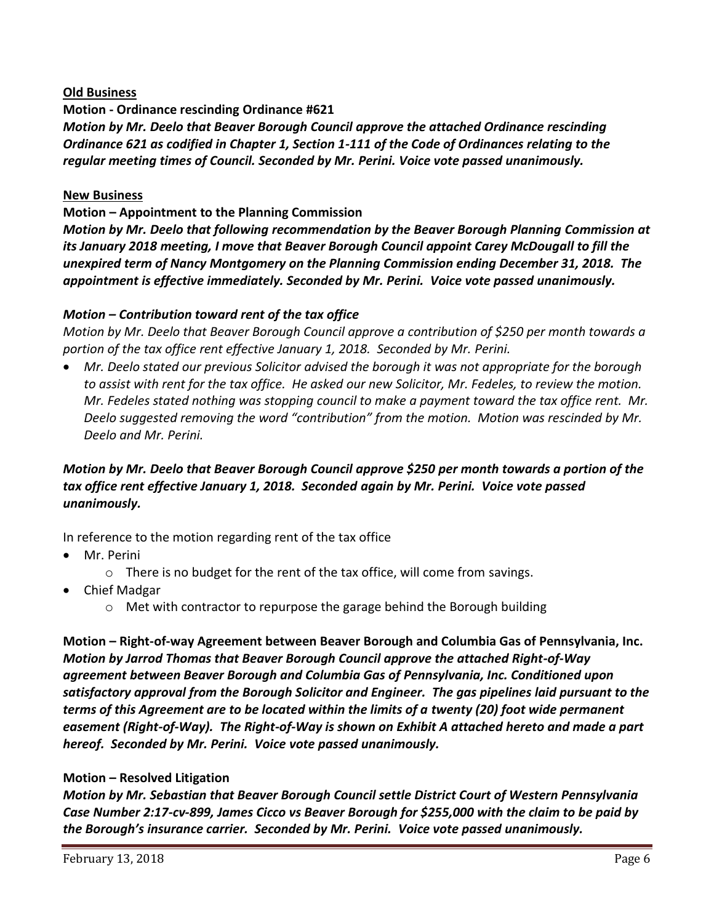## **Old Business**

**Motion - Ordinance rescinding Ordinance #621** *Motion by Mr. Deelo that Beaver Borough Council approve the attached Ordinance rescinding Ordinance 621 as codified in Chapter 1, Section 1-111 of the Code of Ordinances relating to the regular meeting times of Council. Seconded by Mr. Perini. Voice vote passed unanimously.* 

#### **New Business**

#### **Motion – Appointment to the Planning Commission**

*Motion by Mr. Deelo that following recommendation by the Beaver Borough Planning Commission at its January 2018 meeting, I move that Beaver Borough Council appoint Carey McDougall to fill the unexpired term of Nancy Montgomery on the Planning Commission ending December 31, 2018. The appointment is effective immediately. Seconded by Mr. Perini. Voice vote passed unanimously.*

## *Motion – Contribution toward rent of the tax office*

*Motion by Mr. Deelo that Beaver Borough Council approve a contribution of \$250 per month towards a portion of the tax office rent effective January 1, 2018. Seconded by Mr. Perini.*

 *Mr. Deelo stated our previous Solicitor advised the borough it was not appropriate for the borough to assist with rent for the tax office. He asked our new Solicitor, Mr. Fedeles, to review the motion. Mr. Fedeles stated nothing was stopping council to make a payment toward the tax office rent. Mr. Deelo suggested removing the word "contribution" from the motion. Motion was rescinded by Mr. Deelo and Mr. Perini.*

# *Motion by Mr. Deelo that Beaver Borough Council approve \$250 per month towards a portion of the tax office rent effective January 1, 2018. Seconded again by Mr. Perini. Voice vote passed unanimously.*

In reference to the motion regarding rent of the tax office

- Mr. Perini
	- o There is no budget for the rent of the tax office, will come from savings.
- Chief Madgar
	- $\circ$  Met with contractor to repurpose the garage behind the Borough building

**Motion – Right-of-way Agreement between Beaver Borough and Columbia Gas of Pennsylvania, Inc.** *Motion by Jarrod Thomas that Beaver Borough Council approve the attached Right-of-Way agreement between Beaver Borough and Columbia Gas of Pennsylvania, Inc. Conditioned upon satisfactory approval from the Borough Solicitor and Engineer. The gas pipelines laid pursuant to the terms of this Agreement are to be located within the limits of a twenty (20) foot wide permanent easement (Right-of-Way). The Right-of-Way is shown on Exhibit A attached hereto and made a part hereof. Seconded by Mr. Perini. Voice vote passed unanimously.* 

#### **Motion – Resolved Litigation**

*Motion by Mr. Sebastian that Beaver Borough Council settle District Court of Western Pennsylvania Case Number 2:17-cv-899, James Cicco vs Beaver Borough for \$255,000 with the claim to be paid by the Borough's insurance carrier. Seconded by Mr. Perini. Voice vote passed unanimously.*